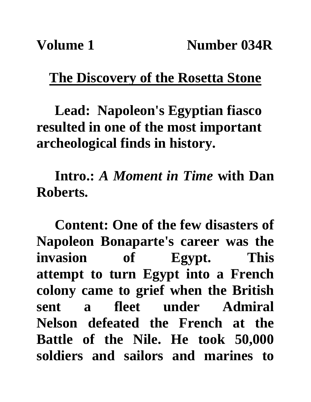## **The Discovery of the Rosetta Stone**

**Lead: Napoleon's Egyptian fiasco resulted in one of the most important archeological finds in history.**

**Intro.:** *A Moment in Time* **with Dan Roberts.**

**Content: One of the few disasters of Napoleon Bonaparte's career was the invasion of Egypt. This attempt to turn Egypt into a French colony came to grief when the British sent a fleet under Admiral Nelson defeated the French at the Battle of the Nile. He took 50,000 soldiers and sailors and marines to**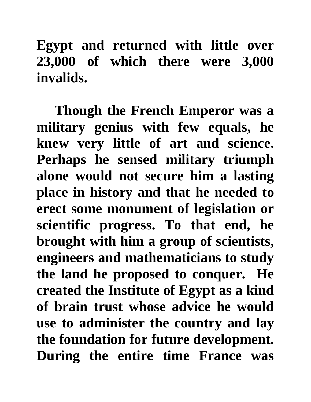**Egypt and returned with little over 23,000 of which there were 3,000 invalids.**

**Though the French Emperor was a military genius with few equals, he knew very little of art and science. Perhaps he sensed military triumph alone would not secure him a lasting place in history and that he needed to erect some monument of legislation or scientific progress. To that end, he brought with him a group of scientists, engineers and mathematicians to study the land he proposed to conquer. He created the Institute of Egypt as a kind of brain trust whose advice he would use to administer the country and lay the foundation for future development. During the entire time France was**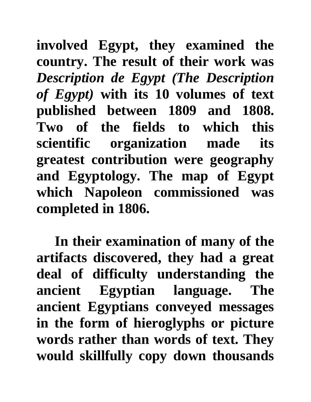**involved Egypt, they examined the country. The result of their work was**  *Description de Egypt (The Description of Egypt)* **with its 10 volumes of text published between 1809 and 1808. Two of the fields to which this scientific organization made its greatest contribution were geography and Egyptology. The map of Egypt which Napoleon commissioned was completed in 1806.**

**In their examination of many of the artifacts discovered, they had a great deal of difficulty understanding the ancient Egyptian language. The ancient Egyptians conveyed messages in the form of hieroglyphs or picture words rather than words of text. They would skillfully copy down thousands**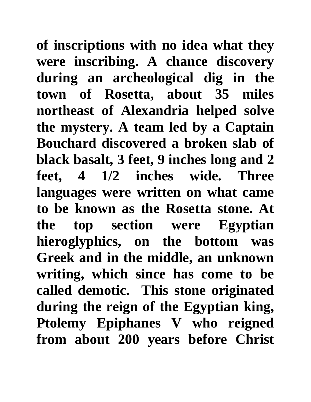**of inscriptions with no idea what they were inscribing. A chance discovery during an archeological dig in the town of Rosetta, about 35 miles northeast of Alexandria helped solve the mystery. A team led by a Captain Bouchard discovered a broken slab of black basalt, 3 feet, 9 inches long and 2 feet, 4 1/2 inches wide. Three languages were written on what came to be known as the Rosetta stone. At the top section were Egyptian hieroglyphics, on the bottom was Greek and in the middle, an unknown writing, which since has come to be called demotic. This stone originated during the reign of the Egyptian king, Ptolemy Epiphanes V who reigned from about 200 years before Christ**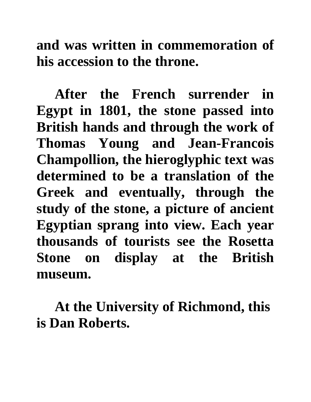**and was written in commemoration of his accession to the throne.**

**After the French surrender in Egypt in 1801, the stone passed into British hands and through the work of Thomas Young and Jean-Francois Champollion, the hieroglyphic text was determined to be a translation of the Greek and eventually, through the study of the stone, a picture of ancient Egyptian sprang into view. Each year thousands of tourists see the Rosetta Stone on display at the British museum.**

**At the University of Richmond, this is Dan Roberts.**